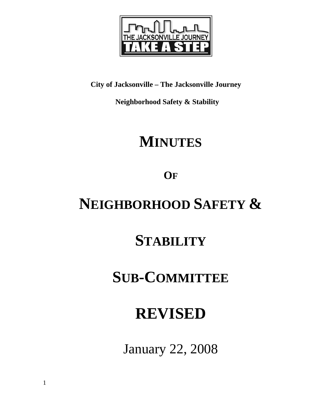

**City of Jacksonville – The Jacksonville Journey** 

 **Neighborhood Safety & Stability** 

# **MINUTES**

**OF**

# **NEIGHBORHOOD SAFETY &**

# **STABILITY**

## **SUB-COMMITTEE**

# **REVISED**

January 22, 2008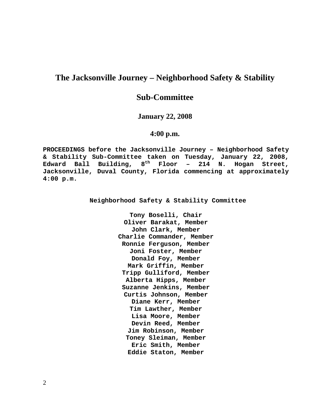## **The Jacksonville Journey – Neighborhood Safety & Stability**

### **Sub-Committee**

### **January 22, 2008**

### **4:00 p.m.**

**PROCEEDINGS before the Jacksonville Journey – Neighborhood Safety & Stability Sub-Committee taken on Tuesday, January 22, 2008, Edward Ball Building, 8th Floor – 214 N. Hogan Street, Jacksonville, Duval County, Florida commencing at approximately 4:00 p.m.** 

**Neighborhood Safety & Stability Committee** 

**Tony Boselli, Chair Oliver Barakat, Member John Clark, Member Charlie Commander, Member Ronnie Ferguson, Member Joni Foster, Member Donald Foy, Member Mark Griffin, Member Tripp Gulliford, Member Alberta Hipps, Member Suzanne Jenkins, Member Curtis Johnson, Member Diane Kerr, Member Tim Lawther, Member Lisa Moore, Member Devin Reed, Member Jim Robinson, Member Toney Sleiman, Member Eric Smith, Member Eddie Staton, Member**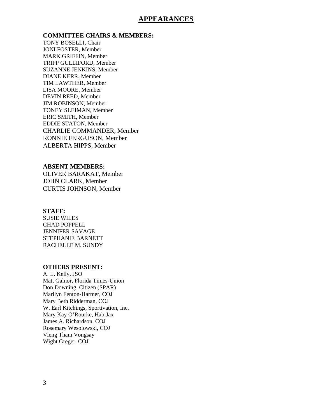### **APPEARANCES**

**COMMITTEE CHAIRS & MEMBERS:**

TONY BOSELLI, Chair JONI FOSTER, Member MARK GRIFFIN, Member TRIPP GULLIFORD, Member SUZANNE JENKINS, Member DIANE KERR, Member TIM LAWTHER, Member LISA MOORE, Member DEVIN REED, Member JIM ROBINSON, Member TONEY SLEIMAN, Member ERIC SMITH, Member EDDIE STATON, Member CHARLIE COMMANDER, Member RONNIE FERGUSON, Member ALBERTA HIPPS, Member

### **ABSENT MEMBERS:**

OLIVER BARAKAT, Member JOHN CLARK, Member CURTIS JOHNSON, Member

#### **STAFF:**

SUSIE WILES CHAD POPPELL JENNIFER SAVAGE STEPHANIE BARNETT RACHELLE M. SUNDY

#### **OTHERS PRESENT:**

A. L. Kelly, JSO Matt Galnor, Florida Times-Union Don Downing, Citizen (SPAR) Marilyn Fenton-Harmer, COJ Mary Beth Ridderman, COJ W. Earl Kitchings, Sportivation, Inc. Mary Kay O'Rourke, HabiJax James A. Richardson, COJ Rosemary Wesolowski, COJ Vieng Tham Vongsay Wight Greger, COJ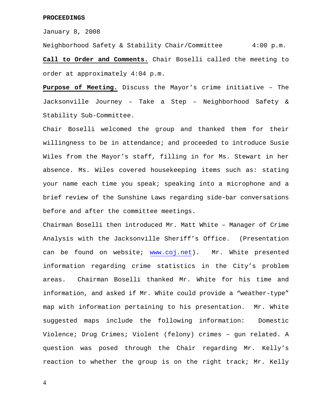#### **PROCEEDINGS**

January 8, 2008

Neighborhood Safety & Stability Chair/Committee 4:00 p.m. **Call to Order and Comments.** Chair Boselli called the meeting to order at approximately 4:04 p.m.

**Purpose of Meeting.** Discuss the Mayor's crime initiative – The Jacksonville Journey – Take a Step – Neighborhood Safety & Stability Sub-Committee.

Chair Boselli welcomed the group and thanked them for their willingness to be in attendance; and proceeded to introduce Susie Wiles from the Mayor's staff, filling in for Ms. Stewart in her absence. Ms. Wiles covered housekeeping items such as: stating your name each time you speak; speaking into a microphone and a brief review of the Sunshine Laws regarding side-bar conversations before and after the committee meetings.

Chairman Boselli then introduced Mr. Matt White – Manager of Crime Analysis with the Jacksonville Sheriff's Office. (Presentation can be found on website; [www.coj.net\)](http://www.coj.net/). Mr. White presented information regarding crime statistics in the City's problem areas. Chairman Boselli thanked Mr. White for his time and information, and asked if Mr. White could provide a "weather-type" map with information pertaining to his presentation. Mr. White suggested maps include the following information: Domestic Violence; Drug Crimes; Violent (felony) crimes – gun related. A question was posed through the Chair regarding Mr. Kelly's reaction to whether the group is on the right track; Mr. Kelly

4